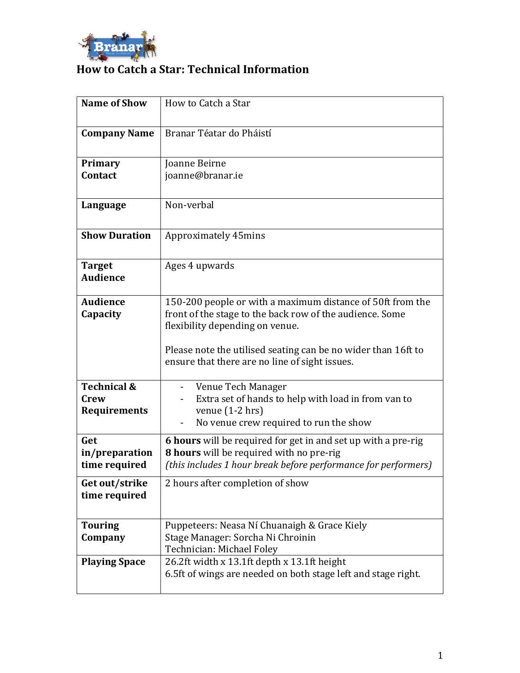

## **How to Catch a Star: Technical Information**

| <b>Name of Show</b>                            | How to Catch a Star                                                                                                                                                                                                                                                          |
|------------------------------------------------|------------------------------------------------------------------------------------------------------------------------------------------------------------------------------------------------------------------------------------------------------------------------------|
| <b>Company Name</b>                            | Branar Téatar do Pháistí                                                                                                                                                                                                                                                     |
| Primary                                        | Joanne Beirne                                                                                                                                                                                                                                                                |
| Contact                                        | joanne@branar.ie                                                                                                                                                                                                                                                             |
| Language                                       | Non-verbal                                                                                                                                                                                                                                                                   |
| <b>Show Duration</b>                           | Approximately 45mins                                                                                                                                                                                                                                                         |
| <b>Target</b><br><b>Audience</b>               | Ages 4 upwards                                                                                                                                                                                                                                                               |
| <b>Audience</b><br>Capacity                    | 150-200 people or with a maximum distance of 50ft from the<br>front of the stage to the back row of the audience. Some<br>flexibility depending on venue.<br>Please note the utilised seating can be no wider than 16ft to<br>ensure that there are no line of sight issues. |
| <b>Technical &amp;</b><br>Crew<br>Requirements | Venue Tech Manager<br>Extra set of hands to help with load in from van to<br>$\overline{\phantom{0}}$<br>venue $(1-2$ hrs)<br>No venue crew required to run the show                                                                                                         |
| Get<br>in/preparation<br>time required         | 6 hours will be required for get in and set up with a pre-rig<br>8 hours will be required with no pre-rig<br>(this includes 1 hour break before performance for performers)                                                                                                  |
| Get out/strike<br>time required                | 2 hours after completion of show                                                                                                                                                                                                                                             |
| <b>Touring</b><br>Company                      | Puppeteers: Neasa Ní Chuanaigh & Grace Kiely<br>Stage Manager: Sorcha Ni Chroinin<br>Technician: Michael Foley                                                                                                                                                               |
| <b>Playing Space</b>                           | 26.2ft width x 13.1ft depth x 13.1ft height<br>6.5ft of wings are needed on both stage left and stage right.                                                                                                                                                                 |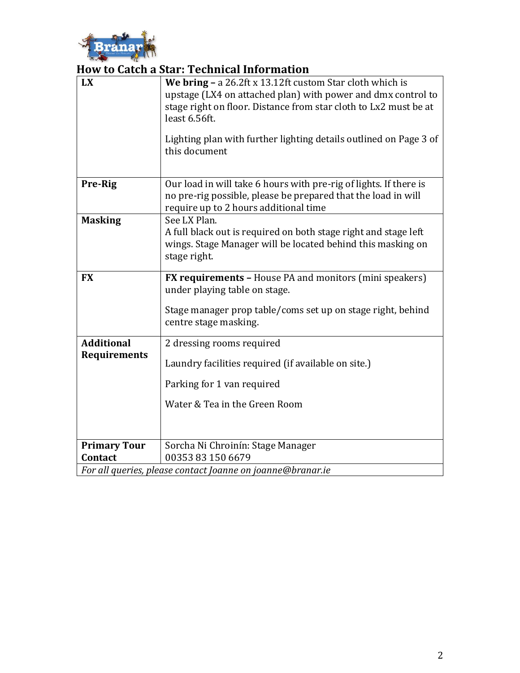

## **How to Catch a Star: Technical Information**

| <b>LX</b>                                                  | We bring - a 26.2ft x 13.12ft custom Star cloth which is<br>upstage (LX4 on attached plan) with power and dmx control to<br>stage right on floor. Distance from star cloth to Lx2 must be at<br>least 6.56ft.<br>Lighting plan with further lighting details outlined on Page 3 of<br>this document |
|------------------------------------------------------------|-----------------------------------------------------------------------------------------------------------------------------------------------------------------------------------------------------------------------------------------------------------------------------------------------------|
| Pre-Rig                                                    | Our load in will take 6 hours with pre-rig of lights. If there is<br>no pre-rig possible, please be prepared that the load in will<br>require up to 2 hours additional time                                                                                                                         |
| <b>Masking</b>                                             | See LX Plan.<br>A full black out is required on both stage right and stage left<br>wings. Stage Manager will be located behind this masking on<br>stage right.                                                                                                                                      |
| <b>FX</b>                                                  | <b>FX requirements - House PA and monitors (mini speakers)</b><br>under playing table on stage.<br>Stage manager prop table/coms set up on stage right, behind<br>centre stage masking.                                                                                                             |
| <b>Additional</b>                                          | 2 dressing rooms required                                                                                                                                                                                                                                                                           |
| <b>Requirements</b>                                        | Laundry facilities required (if available on site.)<br>Parking for 1 van required                                                                                                                                                                                                                   |
|                                                            | Water & Tea in the Green Room                                                                                                                                                                                                                                                                       |
| <b>Primary Tour</b>                                        | Sorcha Ni Chroinín: Stage Manager                                                                                                                                                                                                                                                                   |
| <b>Contact</b>                                             | 00353 83 150 6679                                                                                                                                                                                                                                                                                   |
| For all queries, please contact Joanne on joanne@branar.ie |                                                                                                                                                                                                                                                                                                     |

2